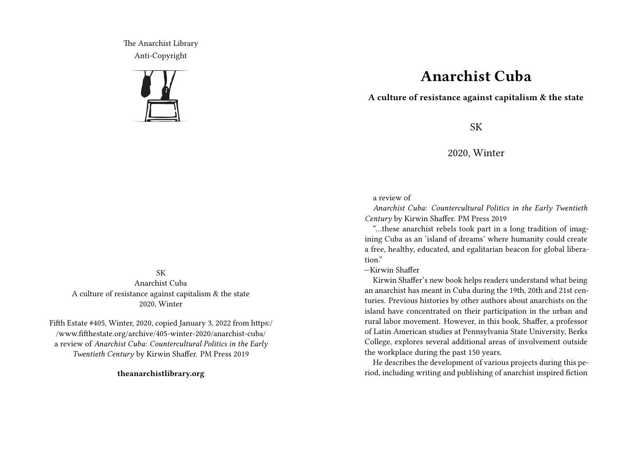The Anarchist Library Anti-Copyright



## SK Anarchist Cuba A culture of resistance against capitalism & the state 2020, Winter

Fifth Estate #405, Winter, 2020, copied January 3, 2022 from https:/ /www.fifthestate.org/archive/405-winter-2020/anarchist-cuba/ a review of *Anarchist Cuba: Countercultural Politics in the Early Twentieth Century* by Kirwin Shaffer. PM Press 2019

**theanarchistlibrary.org**

## **Anarchist Cuba**

**A culture of resistance against capitalism & the state**

SK

2020, Winter

a review of

*Anarchist Cuba: Countercultural Politics in the Early Twentieth Century* by Kirwin Shaffer. PM Press 2019

"…these anarchist rebels took part in a long tradition of imagining Cuba as an 'island of dreams' where humanity could create a free, healthy, educated, and egalitarian beacon for global liberation"

—Kirwin Shaffer

Kirwin Shaffer's new book helps readers understand what being an anarchist has meant in Cuba during the 19th, 20th and 21st centuries. Previous histories by other authors about anarchists on the island have concentrated on their participation in the urban and rural labor movement. However, in this book, Shaffer, a professor of Latin American studies at Pennsylvania State University, Berks College, explores several additional areas of involvement outside the workplace during the past 150 years.

He describes the development of various projects during this period, including writing and publishing of anarchist inspired fiction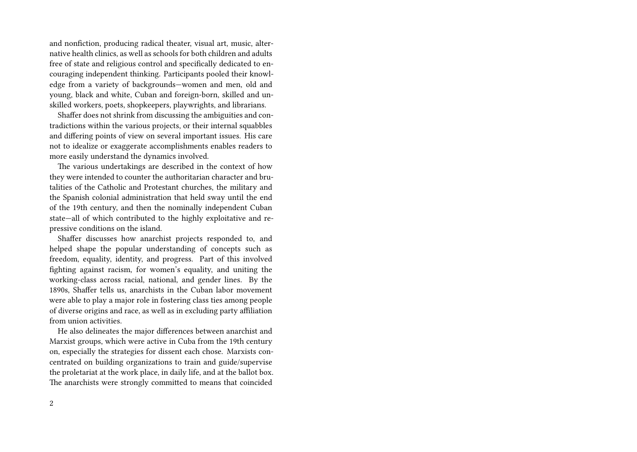and nonfiction, producing radical theater, visual art, music, alternative health clinics, as well as schools for both children and adults free of state and religious control and specifically dedicated to encouraging independent thinking. Participants pooled their knowledge from a variety of backgrounds—women and men, old and young, black and white, Cuban and foreign-born, skilled and unskilled workers, poets, shopkeepers, playwrights, and librarians.

Shaffer does not shrink from discussing the ambiguities and contradictions within the various projects, or their internal squabbles and differing points of view on several important issues. His care not to idealize or exaggerate accomplishments enables readers to more easily understand the dynamics involved.

The various undertakings are described in the context of how they were intended to counter the authoritarian character and brutalities of the Catholic and Protestant churches, the military and the Spanish colonial administration that held sway until the end of the 19th century, and then the nominally independent Cuban state—all of which contributed to the highly exploitative and repressive conditions on the island.

Shaffer discusses how anarchist projects responded to, and helped shape the popular understanding of concepts such as freedom, equality, identity, and progress. Part of this involved fighting against racism, for women's equality, and uniting the working-class across racial, national, and gender lines. By the 1890s, Shaffer tells us, anarchists in the Cuban labor movement were able to play a major role in fostering class ties among people of diverse origins and race, as well as in excluding party affiliation from union activities.

He also delineates the major differences between anarchist and Marxist groups, which were active in Cuba from the 19th century on, especially the strategies for dissent each chose. Marxists concentrated on building organizations to train and guide/supervise the proletariat at the work place, in daily life, and at the ballot box. The anarchists were strongly committed to means that coincided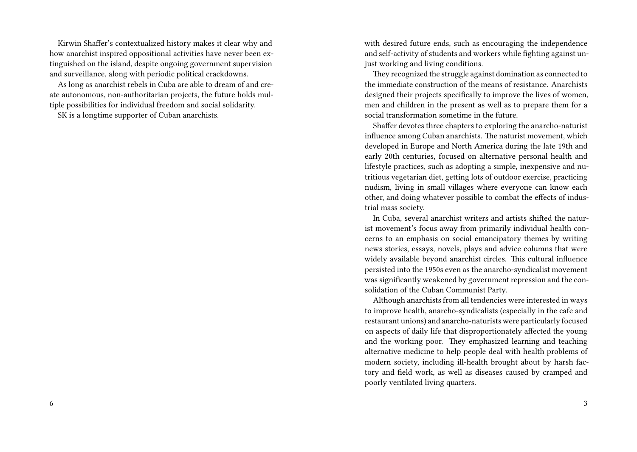Kirwin Shaffer's contextualized history makes it clear why and how anarchist inspired oppositional activities have never been extinguished on the island, despite ongoing government supervision and surveillance, along with periodic political crackdowns.

As long as anarchist rebels in Cuba are able to dream of and create autonomous, non-authoritarian projects, the future holds multiple possibilities for individual freedom and social solidarity.

SK is a longtime supporter of Cuban anarchists.

with desired future ends, such as encouraging the independence and self-activity of students and workers while fighting against unjust working and living conditions.

They recognized the struggle against domination as connected to the immediate construction of the means of resistance. Anarchists designed their projects specifically to improve the lives of women, men and children in the present as well as to prepare them for a social transformation sometime in the future.

Shaffer devotes three chapters to exploring the anarcho-naturist influence among Cuban anarchists. The naturist movement, which developed in Europe and North America during the late 19th and early 20th centuries, focused on alternative personal health and lifestyle practices, such as adopting a simple, inexpensive and nutritious vegetarian diet, getting lots of outdoor exercise, practicing nudism, living in small villages where everyone can know each other, and doing whatever possible to combat the effects of industrial mass society.

In Cuba, several anarchist writers and artists shifted the naturist movement's focus away from primarily individual health concerns to an emphasis on social emancipatory themes by writing news stories, essays, novels, plays and advice columns that were widely available beyond anarchist circles. This cultural influence persisted into the 1950s even as the anarcho-syndicalist movement was significantly weakened by government repression and the consolidation of the Cuban Communist Party.

Although anarchists from all tendencies were interested in ways to improve health, anarcho-syndicalists (especially in the cafe and restaurant unions) and anarcho-naturists were particularly focused on aspects of daily life that disproportionately affected the young and the working poor. They emphasized learning and teaching alternative medicine to help people deal with health problems of modern society, including ill-health brought about by harsh factory and field work, as well as diseases caused by cramped and poorly ventilated living quarters.